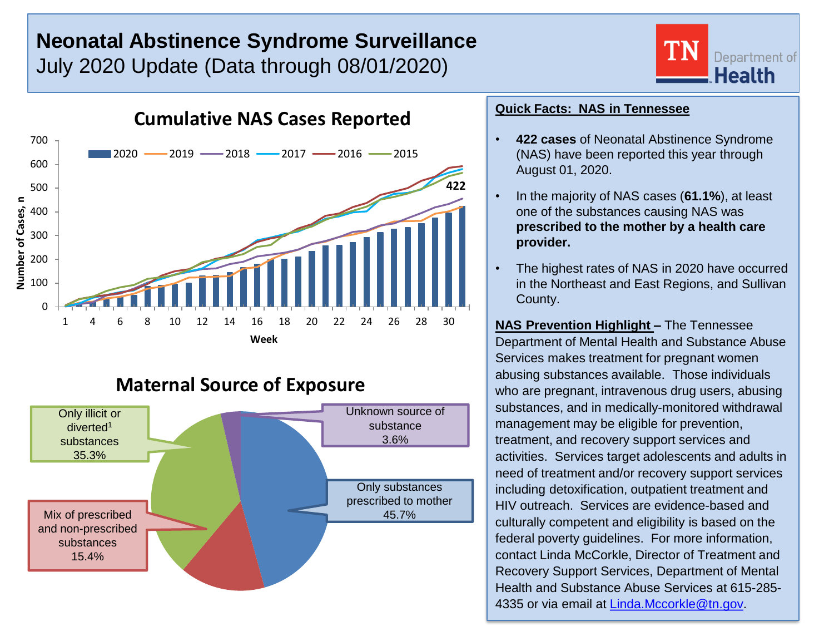# **Neonatal Abstinence Syndrome Surveillance** July 2020 Update (Data through 08/01/2020)





## **Maternal Source of Exposure**



### **Quick Facts: NAS in Tennessee**

- **422 cases** of Neonatal Abstinence Syndrome (NAS) have been reported this year through August 01, 2020.
- In the majority of NAS cases (**61.1%**), at least one of the substances causing NAS was **prescribed to the mother by a health care provider.**
- The highest rates of NAS in 2020 have occurred in the Northeast and East Regions, and Sullivan County.

**NAS Prevention Highlight –** The Tennessee Department of Mental Health and Substance Abuse Services makes treatment for pregnant women abusing substances available. Those individuals who are pregnant, intravenous drug users, abusing substances, and in medically-monitored withdrawal management may be eligible for prevention, treatment, and recovery support services and activities. Services target adolescents and adults in need of treatment and/or recovery support services including detoxification, outpatient treatment and HIV outreach. Services are evidence-based and culturally competent and eligibility is based on the federal poverty guidelines. For more information, contact Linda McCorkle, Director of Treatment and Recovery Support Services, Department of Mental Health and Substance Abuse Services at 615-285- 4335 or via email at [Linda.Mccorkle@tn.gov.](mailto:Linda.Mccorkle@tn.gov)